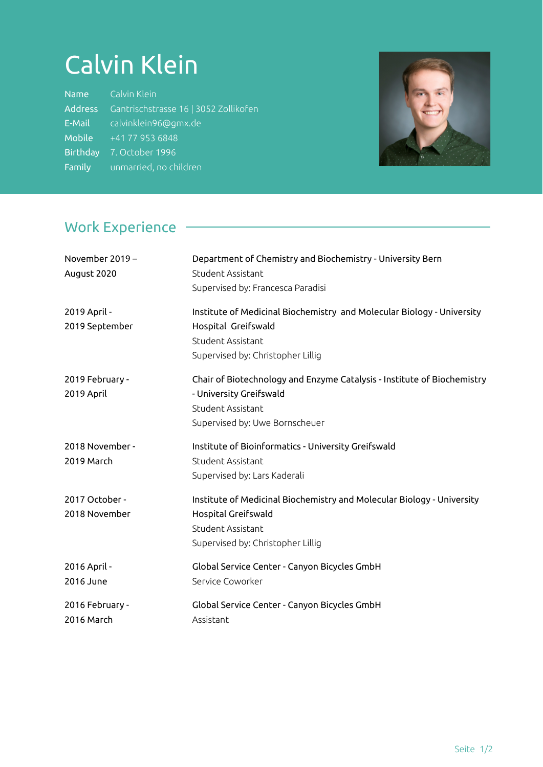## Calvin Klein

| <b>Name</b>     | Calvin Klein                          |
|-----------------|---------------------------------------|
| <b>Address</b>  | Gantrischstrasse 16   3052 Zollikofen |
| E-Mail          | calvinklein96@gmx.de                  |
| Mobile          | $\sqrt{+41}$ 77 953 6848              |
| <b>Birthday</b> | 7. October 1996                       |
| Family          | unmarried, no children                |



#### Work Experience

| November 2019 -<br>August 2020  | Department of Chemistry and Biochemistry - University Bern<br>Student Assistant<br>Supervised by: Francesca Paradisi                                      |
|---------------------------------|-----------------------------------------------------------------------------------------------------------------------------------------------------------|
| 2019 April -<br>2019 September  | Institute of Medicinal Biochemistry and Molecular Biology - University<br>Hospital Greifswald<br>Student Assistant<br>Supervised by: Christopher Lillig   |
| 2019 February -<br>2019 April   | Chair of Biotechnology and Enzyme Catalysis - Institute of Biochemistry<br>- University Greifswald<br>Student Assistant<br>Supervised by: Uwe Bornscheuer |
| 2018 November -<br>2019 March   | Institute of Bioinformatics - University Greifswald<br>Student Assistant<br>Supervised by: Lars Kaderali                                                  |
| 2017 October -<br>2018 November | Institute of Medicinal Biochemistry and Molecular Biology - University<br>Hospital Greifswald<br>Student Assistant<br>Supervised by: Christopher Lillig   |
| 2016 April -<br>2016 June       | Global Service Center - Canyon Bicycles GmbH<br>Service Coworker                                                                                          |
| 2016 February -<br>2016 March   | Global Service Center - Canyon Bicycles GmbH<br>Assistant                                                                                                 |